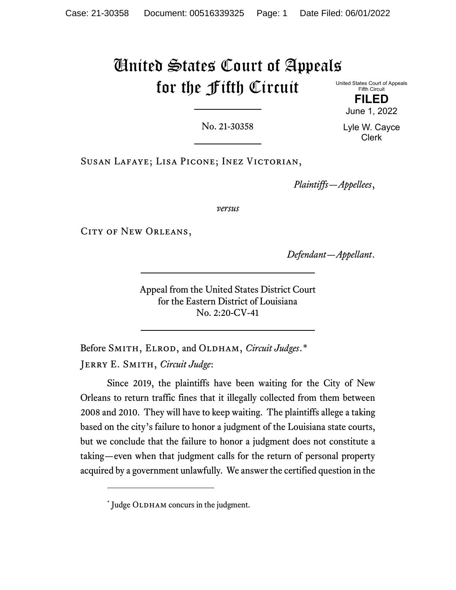# United States Court of Appeals for the Fifth Circuit

United States Court of Appeals Fifth Circuit

> **FILED** June 1, 2022

No. 21-30358

Lyle W. Cayce Clerk

Susan Lafaye; Lisa Picone; Inez Victorian,

*Plaintiffs—Appellees*,

*versus*

CITY OF NEW ORLEANS,

*Defendant—Appellant*.

Appeal from the United States District Court for the Eastern District of Louisiana No. 2:20-CV-41

Before SMITH, ELROD, and OLDHAM, *Circuit Judges*.[\\*](#page-0-0) Jerry E. Smith, *Circuit Judge*:

Since 2019, the plaintiffs have been waiting for the City of New Orleans to return traffic fines that it illegally collected from them between 2008 and 2010. They will have to keep waiting. The plaintiffs allege a taking based on the city's failure to honor a judgment of the Louisiana state courts, but we conclude that the failure to honor a judgment does not constitute a taking—even when that judgment calls for the return of personal property acquired by a government unlawfully. We answer the certified question in the

<span id="page-0-0"></span> $*$  Judge OLDHAM concurs in the judgment.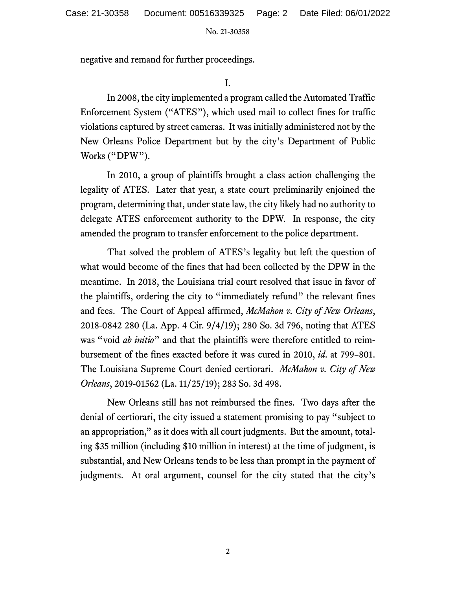negative and remand for further proceedings.

I.

In 2008, the city implemented a program called the Automated Traffic Enforcement System ("ATES"), which used mail to collect fines for traffic violations captured by street cameras. It was initially administered not by the New Orleans Police Department but by the city's Department of Public Works ("DPW").

In 2010, a group of plaintiffs brought a class action challenging the legality of ATES. Later that year, a state court preliminarily enjoined the program, determining that, under state law, the city likely had no authority to delegate ATES enforcement authority to the DPW. In response, the city amended the program to transfer enforcement to the police department.

That solved the problem of ATES's legality but left the question of what would become of the fines that had been collected by the DPW in the meantime. In 2018, the Louisiana trial court resolved that issue in favor of the plaintiffs, ordering the city to "immediately refund" the relevant fines and fees. The Court of Appeal affirmed, *McMahon v. City of New Orleans*, 2018-0842 280 (La. App. 4 Cir. 9/4/19); 280 So. 3d 796, noting that ATES was "void *ab initio*" and that the plaintiffs were therefore entitled to reimbursement of the fines exacted before it was cured in 2010, *id.* at 799–801. The Louisiana Supreme Court denied certiorari. *McMahon v. City of New Orleans*, 2019-01562 (La. 11/25/19); 283 So. 3d 498.

New Orleans still has not reimbursed the fines. Two days after the denial of certiorari, the city issued a statement promising to pay "subject to an appropriation," as it does with all court judgments. But the amount, totaling \$35 million (including \$10 million in interest) at the time of judgment, is substantial, and New Orleans tends to be less than prompt in the payment of judgments. At oral argument, counsel for the city stated that the city's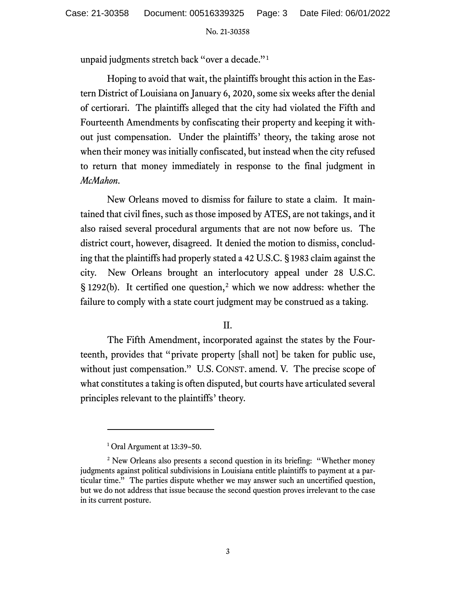unpaid judgments stretch back "over a decade."[1](#page-2-0)

Hoping to avoid that wait, the plaintiffs brought this action in the Eastern District of Louisiana on January 6, 2020, some six weeks after the denial of certiorari. The plaintiffs alleged that the city had violated the Fifth and Fourteenth Amendments by confiscating their property and keeping it without just compensation. Under the plaintiffs' theory, the taking arose not when their money was initially confiscated, but instead when the city refused to return that money immediately in response to the final judgment in *McMahon*.

New Orleans moved to dismiss for failure to state a claim. It maintained that civil fines, such as those imposed by ATES, are not takings, and it also raised several procedural arguments that are not now before us. The district court, however, disagreed. It denied the motion to dismiss, concluding that the plaintiffs had properly stated a 42 U.S.C. § 1983 claim against the city. New Orleans brought an interlocutory appeal under 28 U.S.C. § 1[2](#page-2-1)92(b). It certified one question,<sup>2</sup> which we now address: whether the failure to comply with a state court judgment may be construed as a taking.

II.

The Fifth Amendment, incorporated against the states by the Fourteenth, provides that "private property [shall not] be taken for public use, without just compensation." U.S. CONST. amend. V. The precise scope of what constitutes a taking is often disputed, but courts have articulated several principles relevant to the plaintiffs' theory.

<sup>&</sup>lt;sup>1</sup> Oral Argument at 13:39-50.

<span id="page-2-1"></span><span id="page-2-0"></span><sup>&</sup>lt;sup>2</sup> New Orleans also presents a second question in its briefing: "Whether money" judgments against political subdivisions in Louisiana entitle plaintiffs to payment at a particular time." The parties dispute whether we may answer such an uncertified question, but we do not address that issue because the second question proves irrelevant to the case in its current posture.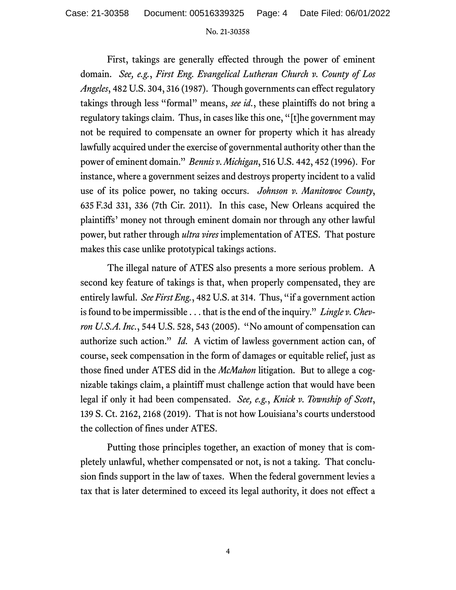First, takings are generally effected through the power of eminent domain. *See, e.g.*, *First Eng. Evangelical Lutheran Church v. County of Los Angeles*, 482 U.S. 304, 316 (1987). Though governments can effect regulatory takings through less "formal" means, *see id.*, these plaintiffs do not bring a regulatory takings claim. Thus, in cases like this one, "[t]he government may not be required to compensate an owner for property which it has already lawfully acquired under the exercise of governmental authority other than the power of eminent domain." *Bennis v. Michigan*, 516 U.S. 442, 452 (1996). For instance, where a government seizes and destroys property incident to a valid use of its police power, no taking occurs. *Johnson v. Manitowoc County*, 635 F.3d 331, 336 (7th Cir. 2011). In this case, New Orleans acquired the plaintiffs' money not through eminent domain nor through any other lawful power, but rather through *ultra vires* implementation of ATES. That posture makes this case unlike prototypical takings actions.

The illegal nature of ATES also presents a more serious problem. A second key feature of takings is that, when properly compensated, they are entirely lawful. *See First Eng.*, 482 U.S. at 314. Thus, "if a government action is found to be impermissible . . . that is the end of the inquiry." *Lingle v. Chevron U.S.A.Inc.*, 544 U.S. 528, 543 (2005). "No amount of compensation can authorize such action." *Id.* A victim of lawless government action can, of course, seek compensation in the form of damages or equitable relief, just as those fined under ATES did in the *McMahon* litigation. But to allege a cognizable takings claim, a plaintiff must challenge action that would have been legal if only it had been compensated. *See, e.g.*, *Knick v. Township of Scott*, 139 S. Ct. 2162, 2168 (2019). That is not how Louisiana's courts understood the collection of fines under ATES.

Putting those principles together, an exaction of money that is completely unlawful, whether compensated or not, is not a taking. That conclusion finds support in the law of taxes. When the federal government levies a tax that is later determined to exceed its legal authority, it does not effect a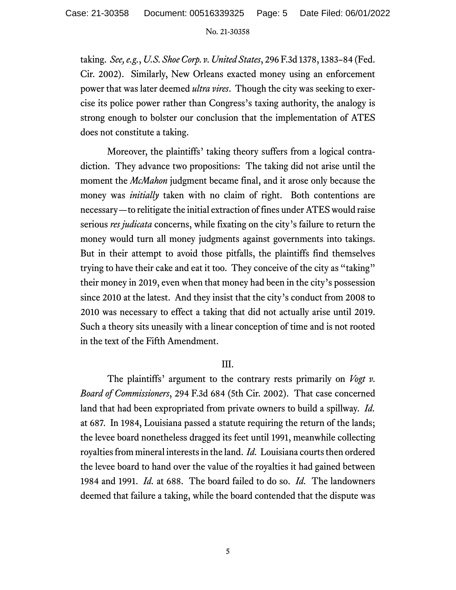taking. *See, e.g.*, *U.S. Shoe Corp. v. United States*, 296 F.3d 1378, 1383–84 (Fed. Cir. 2002). Similarly, New Orleans exacted money using an enforcement power that was later deemed *ultra vires*. Though the city was seeking to exercise its police power rather than Congress's taxing authority, the analogy is strong enough to bolster our conclusion that the implementation of ATES does not constitute a taking.

Moreover, the plaintiffs' taking theory suffers from a logical contradiction. They advance two propositions: The taking did not arise until the moment the *McMahon* judgment became final, and it arose only because the money was *initially* taken with no claim of right. Both contentions are necessary—to relitigate the initial extraction of fines under ATES would raise serious *res judicata* concerns, while fixating on the city's failure to return the money would turn all money judgments against governments into takings. But in their attempt to avoid those pitfalls, the plaintiffs find themselves trying to have their cake and eat it too. They conceive of the city as "taking" their money in 2019, even when that money had been in the city's possession since 2010 at the latest. And they insist that the city's conduct from 2008 to 2010 was necessary to effect a taking that did not actually arise until 2019. Such a theory sits uneasily with a linear conception of time and is not rooted in the text of the Fifth Amendment.

# III.

The plaintiffs' argument to the contrary rests primarily on *Vogt v. Board of Commissioners*, 294 F.3d 684 (5th Cir. 2002). That case concerned land that had been expropriated from private owners to build a spillway. *Id.* at 687. In 1984, Louisiana passed a statute requiring the return of the lands; the levee board nonetheless dragged its feet until 1991, meanwhile collecting royalties from mineral interests in the land. *Id.* Louisiana courts then ordered the levee board to hand over the value of the royalties it had gained between 1984 and 1991. *Id.* at 688. The board failed to do so. *Id.* The landowners deemed that failure a taking, while the board contended that the dispute was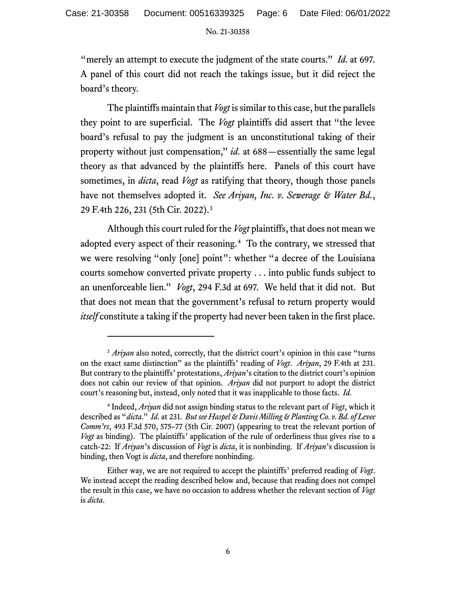"merely an attempt to execute the judgment of the state courts." *Id.* at 697. A panel of this court did not reach the takings issue, but it did reject the board's theory.

The plaintiffs maintain that *Vogt* is similar to this case, but the parallels they point to are superficial. The *Vogt* plaintiffs did assert that "the levee board's refusal to pay the judgment is an unconstitutional taking of their property without just compensation," *id.* at 688—essentially the same legal theory as that advanced by the plaintiffs here. Panels of this court have sometimes, in *dicta*, read *Vogt* as ratifying that theory, though those panels have not themselves adopted it. *See Ariyan, Inc. v. Sewerage & Water Bd.*, 29 F.4th 226, 231 (5th Cir. 2022).[3](#page-5-0)

Although this court ruled for the *Vogt* plaintiffs, that does not mean we adopted every aspect of their reasoning.<sup>[4](#page-5-1)</sup> To the contrary, we stressed that we were resolving "only [one] point": whether "a decree of the Louisiana courts somehow converted private property . . . into public funds subject to an unenforceable lien." *Vogt*, 294 F.3d at 697. We held that it did not. But that does not mean that the government's refusal to return property would *itself* constitute a taking if the property had never been taken in the first place.

<span id="page-5-0"></span><sup>&</sup>lt;sup>3</sup> Ariyan also noted, correctly, that the district court's opinion in this case "turns" on the exact same distinction" as the plaintiffs' reading of *Vogt*. *Ariyan*, 29 F.4th at 231. But contrary to the plaintiffs' protestations, *Ariyan*'s citation to the district court's opinion does not cabin our review of that opinion*. Ariyan* did not purport to adopt the district court's reasoning but, instead, only noted that it was inapplicable to those facts. *Id.*

<span id="page-5-1"></span><sup>4</sup> Indeed, *Ariyan* did not assign binding status to the relevant part of *Vogt*, which it described as "*dicta*." *Id.* at 231. *But see Haspel & Davis Milling & Planting Co. v. Bd. of Levee Comm'rs*, 493 F.3d 570, 575–77 (5th Cir. 2007) (appearing to treat the relevant portion of *Vogt* as binding). The plaintiffs' application of the rule of orderliness thus gives rise to a catch-22: If *Ariyan*'s discussion of *Vogt* is *dicta*, it is nonbinding. If *Ariyan*'s discussion is binding, then Vogt is *dicta*, and therefore nonbinding.

Either way, we are not required to accept the plaintiffs' preferred reading of *Vogt*. We instead accept the reading described below and, because that reading does not compel the result in this case, we have no occasion to address whether the relevant section of *Vogt*  is *dicta*.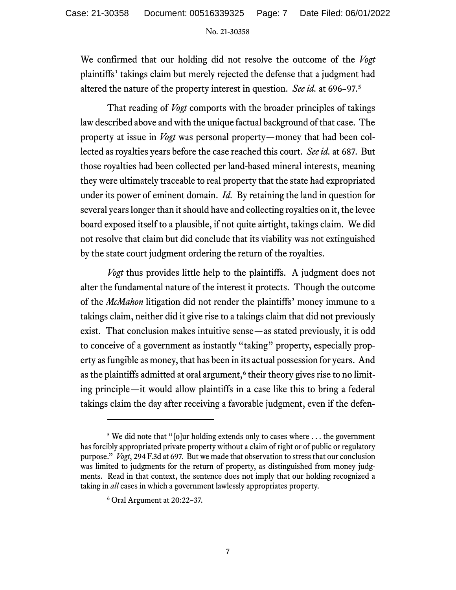We confirmed that our holding did not resolve the outcome of the *Vogt* plaintiffs' takings claim but merely rejected the defense that a judgment had altered the nature of the property interest in question. *See id.* at 696–97.[5](#page-6-0)

That reading of *Vogt* comports with the broader principles of takings law described above and with the unique factual background of that case. The property at issue in *Vogt* was personal property—money that had been collected as royalties years before the case reached this court. *See id.* at 687. But those royalties had been collected per land-based mineral interests, meaning they were ultimately traceable to real property that the state had expropriated under its power of eminent domain. *Id.* By retaining the land in question for several years longer than it should have and collecting royalties on it, the levee board exposed itself to a plausible, if not quite airtight, takings claim. We did not resolve that claim but did conclude that its viability was not extinguished by the state court judgment ordering the return of the royalties.

*Vogt* thus provides little help to the plaintiffs. A judgment does not alter the fundamental nature of the interest it protects. Though the outcome of the *McMahon* litigation did not render the plaintiffs' money immune to a takings claim, neither did it give rise to a takings claim that did not previously exist. That conclusion makes intuitive sense—as stated previously, it is odd to conceive of a government as instantly "taking" property, especially property as fungible as money, that has been in its actual possession for years. And as the plaintiffs admitted at oral argument,<sup>[6](#page-6-1)</sup> their theory gives rise to no limiting principle—it would allow plaintiffs in a case like this to bring a federal takings claim the day after receiving a favorable judgment, even if the defen-

<span id="page-6-1"></span><span id="page-6-0"></span><sup>&</sup>lt;sup>5</sup> We did note that "[o]ur holding extends only to cases where ... the government has forcibly appropriated private property without a claim of right or of public or regulatory purpose." *Vogt*, 294 F.3d at 697. But we made that observation to stress that our conclusion was limited to judgments for the return of property, as distinguished from money judgments. Read in that context, the sentence does not imply that our holding recognized a taking in *all* cases in which a government lawlessly appropriates property.

<sup>6</sup> Oral Argument at 20:22–37.